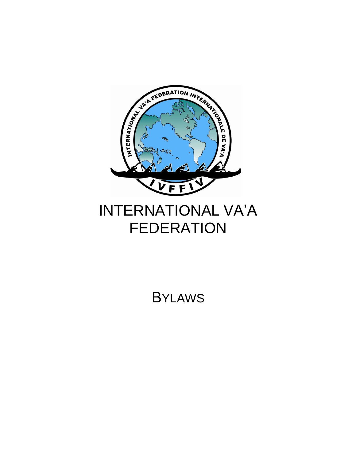

# INTERNATIONAL VA'A FEDERATION

BYLAWS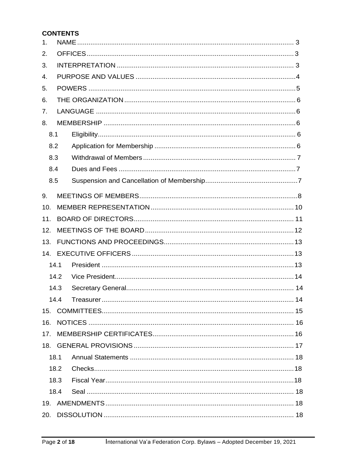# **CONTENTS**

| 1.               |      |  |  |  |
|------------------|------|--|--|--|
| 2.               |      |  |  |  |
| 3.               |      |  |  |  |
| $\overline{4}$ . |      |  |  |  |
| 5.               |      |  |  |  |
| 6.               |      |  |  |  |
| 7.               |      |  |  |  |
| 8.               |      |  |  |  |
|                  | 8.1  |  |  |  |
|                  | 8.2  |  |  |  |
|                  | 8.3  |  |  |  |
|                  | 8.4  |  |  |  |
|                  | 8.5  |  |  |  |
| 9.               |      |  |  |  |
| 10.              |      |  |  |  |
| 11.              |      |  |  |  |
| 12.              |      |  |  |  |
| 13.              |      |  |  |  |
| 14.              |      |  |  |  |
|                  | 14.1 |  |  |  |
|                  | 14.2 |  |  |  |
|                  | 14.3 |  |  |  |
|                  | 14.4 |  |  |  |
| 15.              |      |  |  |  |
| 16.              |      |  |  |  |
| 17.              |      |  |  |  |
|                  |      |  |  |  |
|                  | 18.1 |  |  |  |
|                  | 18.2 |  |  |  |
|                  | 18.3 |  |  |  |
|                  | 18.4 |  |  |  |
|                  |      |  |  |  |
| 20.              |      |  |  |  |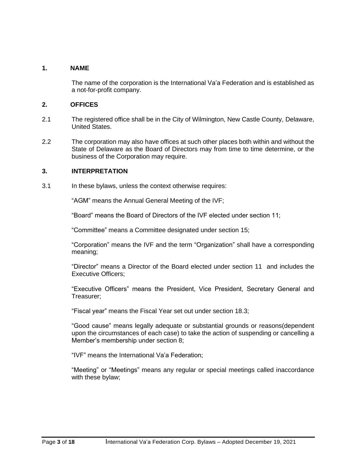# <span id="page-2-0"></span>**1. NAME**

The name of the corporation is the International Va'a Federation and is established as a not-for-profit company.

#### <span id="page-2-1"></span>**2. OFFICES**

- 2.1 The registered office shall be in the City of Wilmington, New Castle County, Delaware, United States.
- 2.2 The corporation may also have offices at such other places both within and without the State of Delaware as the Board of Directors may from time to time determine, or the business of the Corporation may require.

#### <span id="page-2-2"></span>**3. INTERPRETATION**

3.1 In these bylaws, unless the context otherwise requires:

"AGM" means the Annual General Meeting of the IVF;

"Board" means the Board of Directors of the IVF elected under section 11;

"Committee" means a Committee designated under section 15;

"Corporation" means the IVF and the term "Organization" shall have a corresponding meaning;

"Director" means a Director of the Board elected under section 11 and includes the Executive Officers;

"Executive Officers" means the President, Vice President, Secretary General and Treasurer;

"Fiscal year" means the Fiscal Year set out under section 18.3;

"Good cause" means legally adequate or substantial grounds or reasons(dependent upon the circumstances of each case) to take the action of suspending or cancelling a Member's membership under section 8;

"IVF" means the International Va'a Federation;

"Meeting" or "Meetings" means any regular or special meetings called inaccordance with these bylaw;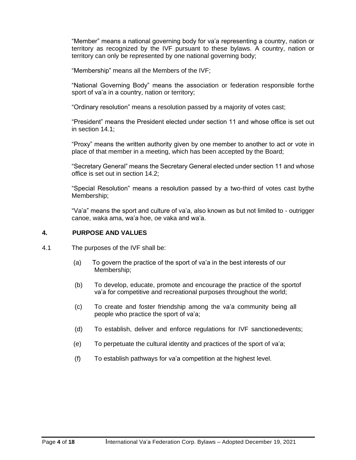"Member" means a national governing body for va'a representing a country, nation or territory as recognized by the IVF pursuant to these bylaws. A country, nation or territory can only be represented by one national governing body;

"Membership" means all the Members of the IVF;

"National Governing Body" means the association or federation responsible forthe sport of va'a in a country, nation or territory;

"Ordinary resolution" means a resolution passed by a majority of votes cast;

"President" means the President elected under section 11 and whose office is set out in section 14.1;

"Proxy" means the written authority given by one member to another to act or vote in place of that member in a meeting, which has been accepted by the Board;

"Secretary General" means the Secretary General elected under section 11 and whose office is set out in section 14.2;

"Special Resolution" means a resolution passed by a two-third of votes cast bythe Membership;

"Va'a" means the sport and culture of va'a, also known as but not limited to - outrigger canoe, waka ama, wa'a hoe, oe vaka and wa'a.

#### <span id="page-3-0"></span>**4. PURPOSE AND VALUES**

- 4.1 The purposes of the IVF shall be:
	- (a) To govern the practice of the sport of va'a in the best interests of our Membership;
	- (b) To develop, educate, promote and encourage the practice of the sportof va'a for competitive and recreational purposes throughout the world;
	- (c) To create and foster friendship among the va'a community being all people who practice the sport of va'a;
	- (d) To establish, deliver and enforce regulations for IVF sanctionedevents;
	- (e) To perpetuate the cultural identity and practices of the sport of va'a;
	- (f) To establish pathways for va'a competition at the highest level.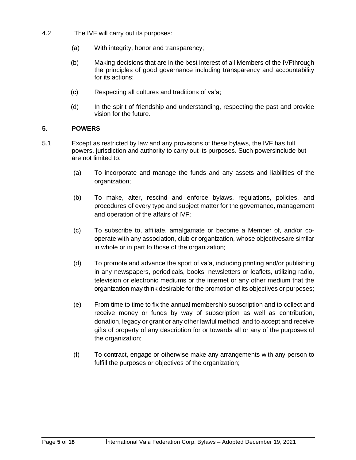- 4.2 The IVF will carry out its purposes:
	- (a) With integrity, honor and transparency;
	- (b) Making decisions that are in the best interest of all Members of the IVFthrough the principles of good governance including transparency and accountability for its actions;
	- (c) Respecting all cultures and traditions of va'a;
	- (d) In the spirit of friendship and understanding, respecting the past and provide vision for the future.

# <span id="page-4-0"></span>**5. POWERS**

- 5.1 Except as restricted by law and any provisions of these bylaws, the IVF has full powers, jurisdiction and authority to carry out its purposes. Such powersinclude but are not limited to:
	- (a) To incorporate and manage the funds and any assets and liabilities of the organization;
	- (b) To make, alter, rescind and enforce bylaws, regulations, policies, and procedures of every type and subject matter for the governance, management and operation of the affairs of IVF;
	- (c) To subscribe to, affiliate, amalgamate or become a Member of, and/or cooperate with any association, club or organization, whose objectivesare similar in whole or in part to those of the organization;
	- (d) To promote and advance the sport of va'a, including printing and/or publishing in any newspapers, periodicals, books, newsletters or leaflets, utilizing radio, television or electronic mediums or the internet or any other medium that the organization may think desirable for the promotion of its objectives or purposes;
	- (e) From time to time to fix the annual membership subscription and to collect and receive money or funds by way of subscription as well as contribution, donation, legacy or grant or any other lawful method, and to accept and receive gifts of property of any description for or towards all or any of the purposes of the organization;
	- (f) To contract, engage or otherwise make any arrangements with any person to fulfill the purposes or objectives of the organization;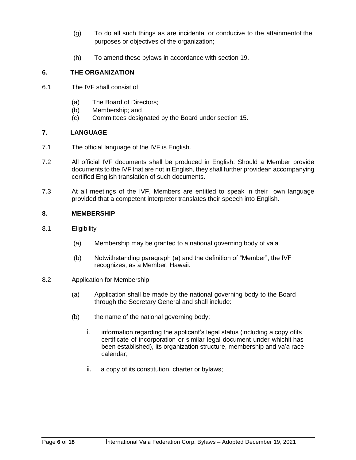- (g) To do all such things as are incidental or conducive to the attainmentof the purposes or objectives of the organization;
- (h) To amend these bylaws in accordance with section 19.

# <span id="page-5-0"></span>**6. THE ORGANIZATION**

- 6.1 The IVF shall consist of:
	- (a) The Board of Directors;
	- (b) Membership; and
	- (c) Committees designated by the Board under section 15.

# <span id="page-5-1"></span>**7. LANGUAGE**

- 7.1 The official language of the IVF is English.
- 7.2 All official IVF documents shall be produced in English. Should a Member provide documents to the IVF that are not in English, they shall further providean accompanying certified English translation of such documents.
- 7.3 At all meetings of the IVF, Members are entitled to speak in their own language provided that a competent interpreter translates their speech into English.

#### <span id="page-5-2"></span>**8. MEMBERSHIP**

- 8.1 Eligibility
	- (a) Membership may be granted to a national governing body of va'a.
	- (b) Notwithstanding paragraph (a) and the definition of "Member", the IVF recognizes, as a Member, Hawaii.
- 8.2 Application for Membership
	- (a) Application shall be made by the national governing body to the Board through the Secretary General and shall include:
	- (b) the name of the national governing body;
		- i. information regarding the applicant's legal status (including a copy ofits certificate of incorporation or similar legal document under whichit has been established), its organization structure, membership and va'a race calendar;
		- ii. a copy of its constitution, charter or bylaws;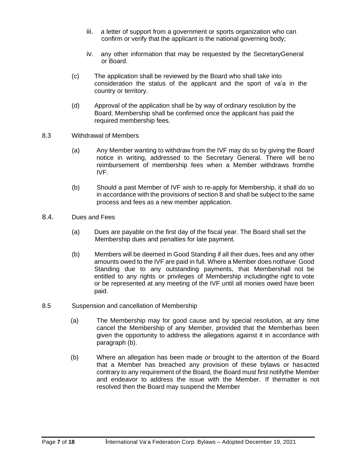- iii. a letter of support from a government or sports organization who can confirm or verify that the applicant is the national governing body;
- iv. any other information that may be requested by the SecretaryGeneral or Board.
- (c) The application shall be reviewed by the Board who shall take into consideration the status of the applicant and the sport of va'a in the country or territory.
- (d) Approval of the application shall be by way of ordinary resolution by the Board. Membership shall be confirmed once the applicant has paid the required membership fees.
- 8.3 Withdrawal of Members
	- (a) Any Member wanting to withdraw from the IVF may do so by giving the Board notice in writing, addressed to the Secretary General. There will be no reimbursement of membership fees when a Member withdraws fromthe IVF.
	- (b) Should a past Member of IVF wish to re-apply for Membership, it shall do so in accordance with the provisions of section 8 and shall be subject to the same process and fees as a new member application.
- 8.4. Dues and Fees
	- (a) Dues are payable on the first day of the fiscal year. The Board shall set the Membership dues and penalties for late payment.
	- (b) Members will be deemed in Good Standing if all their dues, fees and any other amounts owed to the IVF are paid in full. Where a Member does nothave Good Standing due to any outstanding payments, that Membershall not be entitled to any rights or privileges of Membership includingthe right to vote or be represented at any meeting of the IVF until all monies owed have been paid.
- 8.5 Suspension and cancellation of Membership
	- (a) The Membership may for good cause and by special resolution, at any time cancel the Membership of any Member, provided that the Memberhas been given the opportunity to address the allegations against it in accordance with paragraph (b).
	- (b) Where an allegation has been made or brought to the attention of the Board that a Member has breached any provision of these bylaws or hasacted contrary to any requirement of the Board, the Board must first notifythe Member and endeavor to address the issue with the Member. If thematter is not resolved then the Board may suspend the Member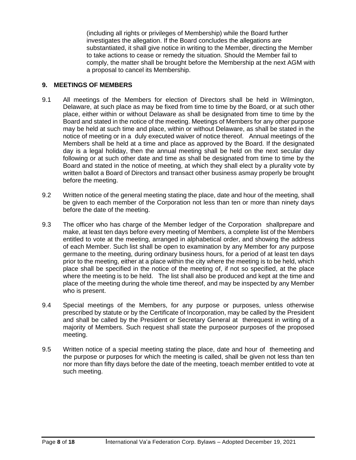(including all rights or privileges of Membership) while the Board further investigates the allegation. If the Board concludes the allegations are substantiated, it shall give notice in writing to the Member, directing the Member to take actions to cease or remedy the situation. Should the Member fail to comply, the matter shall be brought before the Membership at the next AGM with a proposal to cancel its Membership.

# <span id="page-7-0"></span>**9. MEETINGS OF MEMBERS**

- 9.1 All meetings of the Members for election of Directors shall be held in Wilmington, Delaware, at such place as may be fixed from time to time by the Board, or at such other place, either within or without Delaware as shall be designated from time to time by the Board and stated in the notice of the meeting. Meetings of Members for any other purpose may be held at such time and place, within or without Delaware, as shall be stated in the notice of meeting or in a duly executed waiver of notice thereof. Annual meetings of the Members shall be held at a time and place as approved by the Board. If the designated day is a legal holiday, then the annual meeting shall be held on the next secular day following or at such other date and time as shall be designated from time to time by the Board and stated in the notice of meeting, at which they shall elect by a plurality vote by written ballot a Board of Directors and transact other business asmay properly be brought before the meeting.
- 9.2 Written notice of the general meeting stating the place, date and hour of the meeting, shall be given to each member of the Corporation not less than ten or more than ninety days before the date of the meeting.
- 9.3 The officer who has charge of the Member ledger of the Corporation shallprepare and make, at least ten days before every meeting of Members, a complete list of the Members entitled to vote at the meeting, arranged in alphabetical order, and showing the address of each Member. Such list shall be open to examination by any Member for any purpose germane to the meeting, during ordinary business hours, for a period of at least ten days prior to the meeting, either at a place within the city where the meeting is to be held, which place shall be specified in the notice of the meeting of, if not so specified, at the place where the meeting is to be held. The list shall also be produced and kept at the time and place of the meeting during the whole time thereof, and may be inspected by any Member who is present.
- 9.4 Special meetings of the Members, for any purpose or purposes, unless otherwise prescribed by statute or by the Certificate of Incorporation, may be called by the President and shall be called by the President or Secretary General at therequest in writing of a majority of Members. Such request shall state the purposeor purposes of the proposed meeting.
- 9.5 Written notice of a special meeting stating the place, date and hour of themeeting and the purpose or purposes for which the meeting is called, shall be given not less than ten nor more than fifty days before the date of the meeting, toeach member entitled to vote at such meeting.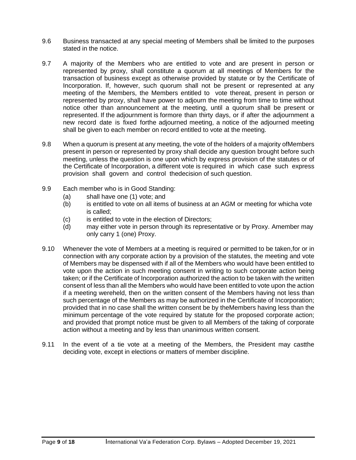- 9.6 Business transacted at any special meeting of Members shall be limited to the purposes stated in the notice.
- 9.7 A majority of the Members who are entitled to vote and are present in person or represented by proxy, shall constitute a quorum at all meetings of Members for the transaction of business except as otherwise provided by statute or by the Certificate of Incorporation. If, however, such quorum shall not be present or represented at any meeting of the Members, the Members entitled to vote thereat, present in person or represented by proxy, shall have power to adjourn the meeting from time to time without notice other than announcement at the meeting, until a quorum shall be present or represented. If the adjournment is formore than thirty days, or if after the adjournment a new record date is fixed forthe adjourned meeting, a notice of the adjourned meeting shall be given to each member on record entitled to vote at the meeting.
- 9.8 When a quorum is present at any meeting, the vote of the holders of a majority ofMembers present in person or represented by proxy shall decide any question brought before such meeting, unless the question is one upon which by express provision of the statutes or of the Certificate of Incorporation, a different vote is required in which case such express provision shall govern and control thedecision of such question.
- 9.9 Each member who is in Good Standing:
	- (a) shall have one (1) vote; and
	- (b) is entitled to vote on all items of business at an AGM or meeting for whicha vote is called;
	- (c) is entitled to vote in the election of Directors;
	- (d) may either vote in person through its representative or by Proxy. Amember may only carry 1 (one) Proxy.
- 9.10 Whenever the vote of Members at a meeting is required or permitted to be taken, for or in connection with any corporate action by a provision of the statutes, the meeting and vote of Members may be dispensed with if all of the Members who would have been entitled to vote upon the action in such meeting consent in writing to such corporate action being taken; or if the Certificate of Incorporation authorized the action to be taken with the written consent of less than all the Members who would have been entitled to vote upon the action if a meeting wereheld, then on the written consent of the Members having not less than such percentage of the Members as may be authorized in the Certificate of Incorporation; provided that in no case shall the written consent be by theMembers having less than the minimum percentage of the vote required by statute for the proposed corporate action; and provided that prompt notice must be given to all Members of the taking of corporate action without a meeting and by less than unanimous written consent.
- 9.11 In the event of a tie vote at a meeting of the Members, the President may castthe deciding vote, except in elections or matters of member discipline.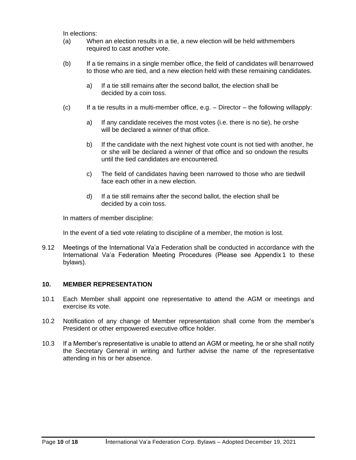In elections:

- (a) When an election results in a tie, a new election will be held withmembers required to cast another vote.
- (b) If a tie remains in a single member office, the field of candidates will benarrowed to those who are tied, and a new election held with these remaining candidates.
	- a) If a tie still remains after the second ballot, the election shall be decided by a coin toss.
- $(c)$  If a tie results in a multi-member office, e.g. Director the following willapply:
	- a) If any candidate receives the most votes (i.e. there is no tie), he orshe will be declared a winner of that office.
	- b) If the candidate with the next highest vote count is not tied with another, he or she will be declared a winner of that office and so ondown the results until the tied candidates are encountered.
	- c) The field of candidates having been narrowed to those who are tiedwill face each other in a new election.
	- d) If a tie still remains after the second ballot, the election shall be decided by a coin toss.

In matters of member discipline:

In the event of a tied vote relating to discipline of a member, the motion is lost.

9.12 Meetings of the International Va'a Federation shall be conducted in accordance with the International Va'a Federation Meeting Procedures (Please see Appendix 1 to these bylaws).

# <span id="page-9-0"></span>**10. MEMBER REPRESENTATION**

- 10.1 Each Member shall appoint one representative to attend the AGM or meetings and exercise its vote.
- 10.2 Notification of any change of Member representation shall come from the member's President or other empowered executive office holder.
- 10.3 If a Member's representative is unable to attend an AGM or meeting, he or she shall notify the Secretary General in writing and further advise the name of the representative attending in his or her absence.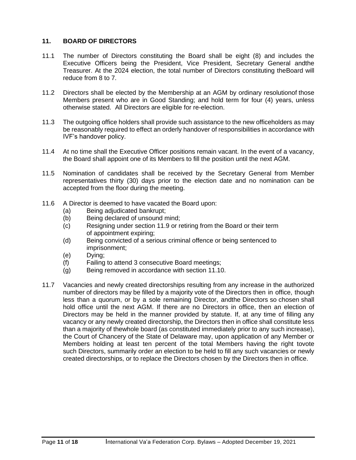# <span id="page-10-0"></span>**11. BOARD OF DIRECTORS**

- 11.1 The number of Directors constituting the Board shall be eight (8) and includes the Executive Officers being the President, Vice President, Secretary General andthe Treasurer. At the 2024 election, the total number of Directors constituting theBoard will reduce from 8 to 7.
- 11.2 Directors shall be elected by the Membership at an AGM by ordinary resolutionof those Members present who are in Good Standing; and hold term for four (4) years, unless otherwise stated. All Directors are eligible for re-election.
- 11.3 The outgoing office holders shall provide such assistance to the new officeholders as may be reasonably required to effect an orderly handover of responsibilities in accordance with IVF's handover policy.
- 11.4 At no time shall the Executive Officer positions remain vacant. In the event of a vacancy, the Board shall appoint one of its Members to fill the position until the next AGM.
- 11.5 Nomination of candidates shall be received by the Secretary General from Member representatives thirty (30) days prior to the election date and no nomination can be accepted from the floor during the meeting.
- 11.6 A Director is deemed to have vacated the Board upon:
	- (a) Being adjudicated bankrupt;
	- (b) Being declared of unsound mind;
	- (c) Resigning under section 11.9 or retiring from the Board or their term of appointment expiring;
	- (d) Being convicted of a serious criminal offence or being sentenced to imprisonment;
	- (e) Dying;
	- (f) Failing to attend 3 consecutive Board meetings;
	- (g) Being removed in accordance with section 11.10.
- 11.7 Vacancies and newly created directorships resulting from any increase in the authorized number of directors may be filled by a majority vote of the Directors then in office, though less than a quorum, or by a sole remaining Director, andthe Directors so chosen shall hold office until the next AGM. If there are no Directors in office, then an election of Directors may be held in the manner provided by statute. If, at any time of filling any vacancy or any newly created directorship, the Directors then in office shall constitute less than a majority of thewhole board (as constituted immediately prior to any such increase), the Court of Chancery of the State of Delaware may, upon application of any Member or Members holding at least ten percent of the total Members having the right tovote such Directors, summarily order an election to be held to fill any such vacancies or newly created directorships, or to replace the Directors chosen by the Directors then in office.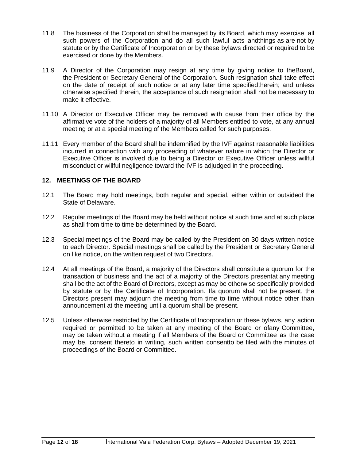- 11.8 The business of the Corporation shall be managed by its Board, which may exercise all such powers of the Corporation and do all such lawful acts andthings as are not by statute or by the Certificate of Incorporation or by these bylaws directed or required to be exercised or done by the Members.
- 11.9 A Director of the Corporation may resign at any time by giving notice to theBoard, the President or Secretary General of the Corporation. Such resignation shall take effect on the date of receipt of such notice or at any later time specifiedtherein; and unless otherwise specified therein, the acceptance of such resignation shall not be necessary to make it effective.
- 11.10 A Director or Executive Officer may be removed with cause from their office by the affirmative vote of the holders of a majority of all Members entitled to vote, at any annual meeting or at a special meeting of the Members called for such purposes.
- 11.11 Every member of the Board shall be indemnified by the IVF against reasonable liabilities incurred in connection with any proceeding of whatever nature in which the Director or Executive Officer is involved due to being a Director or Executive Officer unless willful misconduct or willful negligence toward the IVF is adjudged in the proceeding.

# <span id="page-11-0"></span>**12. MEETINGS OF THE BOARD**

- 12.1 The Board may hold meetings, both regular and special, either within or outsideof the State of Delaware.
- 12.2 Regular meetings of the Board may be held without notice at such time and at such place as shall from time to time be determined by the Board.
- 12.3 Special meetings of the Board may be called by the President on 30 days written notice to each Director. Special meetings shall be called by the President or Secretary General on like notice, on the written request of two Directors.
- 12.4 At all meetings of the Board, a majority of the Directors shall constitute a quorum for the transaction of business and the act of a majority of the Directors presentat any meeting shall be the act of the Board of Directors, except as may be otherwise specifically provided by statute or by the Certificate of Incorporation. Ifa quorum shall not be present, the Directors present may adjourn the meeting from time to time without notice other than announcement at the meeting until a quorum shall be present.
- 12.5 Unless otherwise restricted by the Certificate of Incorporation or these bylaws, any action required or permitted to be taken at any meeting of the Board or ofany Committee, may be taken without a meeting if all Members of the Board or Committee as the case may be, consent thereto in writing, such written consentto be filed with the minutes of proceedings of the Board or Committee.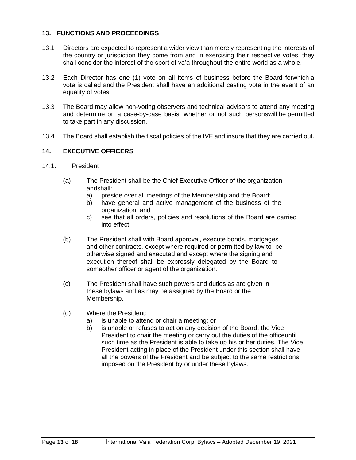# <span id="page-12-0"></span>**13. FUNCTIONS AND PROCEEDINGS**

- 13.1 Directors are expected to represent a wider view than merely representing the interests of the country or jurisdiction they come from and in exercising their respective votes, they shall consider the interest of the sport of va'a throughout the entire world as a whole.
- 13.2 Each Director has one (1) vote on all items of business before the Board forwhich a vote is called and the President shall have an additional casting vote in the event of an equality of votes.
- 13.3 The Board may allow non-voting observers and technical advisors to attend any meeting and determine on a case-by-case basis, whether or not such personswill be permitted to take part in any discussion.
- 13.4 The Board shall establish the fiscal policies of the IVF and insure that they are carried out.

# <span id="page-12-1"></span>**14. EXECUTIVE OFFICERS**

- 14.1. President
	- (a) The President shall be the Chief Executive Officer of the organization andshall:
		- a) preside over all meetings of the Membership and the Board;
		- b) have general and active management of the business of the organization; and
		- c) see that all orders, policies and resolutions of the Board are carried into effect.
	- (b) The President shall with Board approval, execute bonds, mortgages and other contracts, except where required or permitted by law to be otherwise signed and executed and except where the signing and execution thereof shall be expressly delegated by the Board to someother officer or agent of the organization.
	- (c) The President shall have such powers and duties as are given in these bylaws and as may be assigned by the Board or the Membership.
	- (d) Where the President:
		- a) is unable to attend or chair a meeting; or
		- b) is unable or refuses to act on any decision of the Board, the Vice President to chair the meeting or carry out the duties of the officeuntil such time as the President is able to take up his or her duties. The Vice President acting in place of the President under this section shall have all the powers of the President and be subject to the same restrictions imposed on the President by or under these bylaws.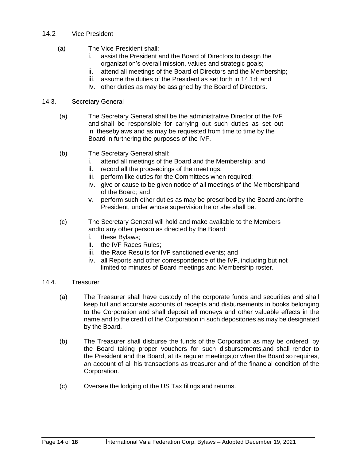# 14.2 Vice President

- (a) The Vice President shall:
	- i. assist the President and the Board of Directors to design the organization's overall mission, values and strategic goals;
	- ii. attend all meetings of the Board of Directors and the Membership;
	- iii. assume the duties of the President as set forth in 14.1d; and
	- iv. other duties as may be assigned by the Board of Directors.

# 14.3. Secretary General

- (a) The Secretary General shall be the administrative Director of the IVF and shall be responsible for carrying out such duties as set out in thesebylaws and as may be requested from time to time by the Board in furthering the purposes of the IVF.
- (b) The Secretary General shall:
	- i. attend all meetings of the Board and the Membership; and
	- ii. record all the proceedings of the meetings;
	- iii. perform like duties for the Committees when required;
	- iv. give or cause to be given notice of all meetings of the Membershipand of the Board; and
	- v. perform such other duties as may be prescribed by the Board and/orthe President, under whose supervision he or she shall be.
- (c) The Secretary General will hold and make available to the Members andto any other person as directed by the Board:
	- i. these Bylaws;
	- ii. the IVF Races Rules;
	- iii. the Race Results for IVF sanctioned events; and
	- iv. all Reports and other correspondence of the IVF, including but not limited to minutes of Board meetings and Membership roster.

# 14.4. Treasurer

- (a) The Treasurer shall have custody of the corporate funds and securities and shall keep full and accurate accounts of receipts and disbursements in books belonging to the Corporation and shall deposit all moneys and other valuable effects in the name and to the credit of the Corporation in such depositories as may be designated by the Board.
- (b) The Treasurer shall disburse the funds of the Corporation as may be ordered by the Board taking proper vouchers for such disbursements,and shall render to the President and the Board, at its regular meetings,or when the Board so requires, an account of all his transactions as treasurer and of the financial condition of the Corporation.
- (c) Oversee the lodging of the US Tax filings and returns.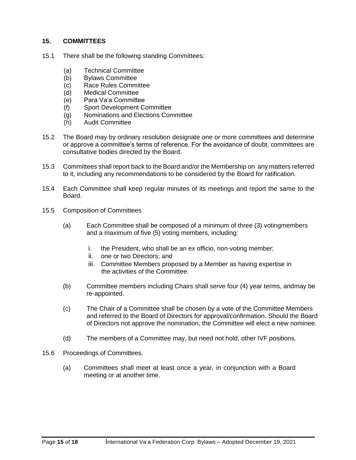# <span id="page-14-0"></span>**15. COMMITTEES**

- 15.1 There shall be the following standing Committees:
	- (a) Technical Committee
	- (b) Bylaws Committee
	- (c) Race Rules Committee
	- (d) Medical Committee
	- (e) Para Va'a Committee
	- (f) Sport Development Committee
	- (g) Nominations and Elections Committee
	- (h) Audit Committee
- 15.2 The Board may by ordinary resolution designate one or more committees and determine or approve a committee's terms of reference. For the avoidance of doubt, committees are consultative bodies directed by the Board.
- 15.3 Committees shall report back to the Board and/or the Membership on any matters referred to it, including any recommendations to be considered by the Board for ratification.
- 15.4 Each Committee shall keep regular minutes of its meetings and report the same to the Board.
- 15.5 Composition of Committees
	- (a) Each Committee shall be composed of a minimum of three (3) votingmembers and a maximum of five (5) voting members, including:
		- i. the President, who shall be an ex officio, non-voting member;
		- ii. one or two Directors; and
		- iii. Committee Members proposed by a Member as having expertise in the activities of the Committee.
	- (b) Committee members including Chairs shall serve four (4) year terms, andmay be re-appointed.
	- (c) The Chair of a Committee shall be chosen by a vote of the Committee Members and referred to the Board of Directors for approval/confirmation. Should the Board of Directors not approve the nomination, the Committee will elect a new nominee.
	- (d) The members of a Committee may, but need not hold, other IVF positions.
- 15.6 Proceedings of Committees.
	- (a) Committees shall meet at least once a year, in conjunction with a Board meeting or at another time.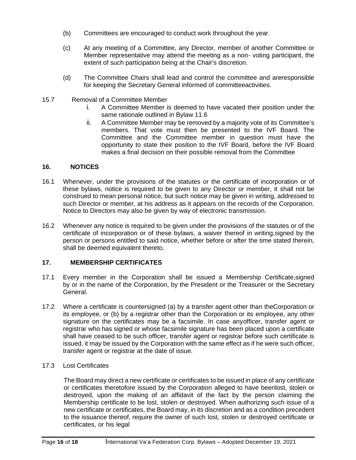- (b) Committees are encouraged to conduct work throughout the year.
- (c) At any meeting of a Committee, any Director, member of another Committee or Member representative may attend the meeting as a non- voting participant, the extent of such participation being at the Chair's discretion.
- (d) The Committee Chairs shall lead and control the committee and areresponsible for keeping the Secretary General informed of committeeactivities.
- 15.7 Removal of a Committee Member
	- i. A Committee Member is deemed to have vacated their position under the same rationale outlined in Bylaw 11.6
	- ii. A Committee Member may be removed by a majority vote of its Committee's members. That vote must then be presented to the IVF Board. The Committee and the Committee member in question must have the opportunity to state their position to the IVF Board, before the IVF Board makes a final decision on their possible removal from the Committee

# <span id="page-15-0"></span>**16. NOTICES**

- 16.1 Whenever, under the provisions of the statutes or the certificate of incorporation or of these bylaws, notice is required to be given to any Director or member, it shall not be construed to mean personal notice, but such notice may be given in writing, addressed to such Director or member, at his address as it appears on the records of the Corporation. Notice to Directors may also be given by way of electronic transmission.
- 16.2 Whenever any notice is required to be given under the provisions of the statutes or of the certificate of incorporation or of these bylaws, a waiver thereof in writing,signed by the person or persons entitled to said notice, whether before or after the time stated therein, shall be deemed equivalent thereto.

# <span id="page-15-1"></span>**17. MEMBERSHIP CERTIFICATES**

- 17.1 Every member in the Corporation shall be issued a Membership Certificate,signed by or in the name of the Corporation, by the President or the Treasurer or the Secretary General.
- 17.2 Where a certificate is countersigned (a) by a transfer agent other than theCorporation or its employee, or (b) by a registrar other than the Corporation or its employee, any other signature on the certificates may be a facsimile. In case anyofficer, transfer agent or registrar who has signed or whose facsimile signature has been placed upon a certificate shall have ceased to be such officer, transfer agent or registrar before such certificate is issued, it may be issued by the Corporation with the same effect as if he were such officer, transfer agent or registrar at the date of issue.
- 17.3 Lost Certificates

The Board may direct a new certificate or certificates to be issued in place of any certificate or certificates theretofore issued by the Corporation alleged to have beenlost, stolen or destroyed, upon the making of an affidavit of the fact by the person claiming the Membership certificate to be lost, stolen or destroyed. When authorizing such issue of a new certificate or certificates, the Board may, in its discretion and as a condition precedent to the issuance thereof, require the owner of such lost, stolen or destroyed certificate or certificates, or his legal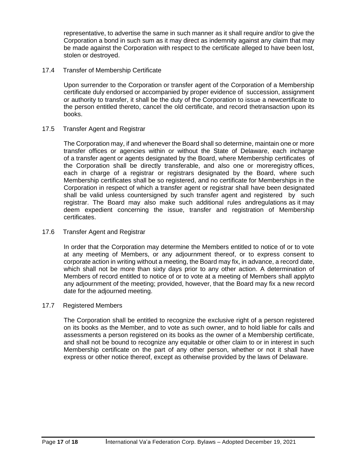representative, to advertise the same in such manner as it shall require and/or to give the Corporation a bond in such sum as it may direct as indemnity against any claim that may be made against the Corporation with respect to the certificate alleged to have been lost, stolen or destroyed.

# 17.4 Transfer of Membership Certificate

Upon surrender to the Corporation or transfer agent of the Corporation of a Membership certificate duly endorsed or accompanied by proper evidence of succession, assignment or authority to transfer, it shall be the duty of the Corporation to issue a newcertificate to the person entitled thereto, cancel the old certificate, and record thetransaction upon its books.

# 17.5 Transfer Agent and Registrar

The Corporation may, if and whenever the Board shall so determine, maintain one or more transfer offices or agencies within or without the State of Delaware, each incharge of a transfer agent or agents designated by the Board, where Membership certificates of the Corporation shall be directly transferable, and also one or moreregistry offices, each in charge of a registrar or registrars designated by the Board, where such Membership certificates shall be so registered, and no certificate for Memberships in the Corporation in respect of which a transfer agent or registrar shall have been designated shall be valid unless countersigned by such transfer agent and registered by such registrar. The Board may also make such additional rules andregulations as it may deem expedient concerning the issue, transfer and registration of Membership certificates.

# 17.6 Transfer Agent and Registrar

In order that the Corporation may determine the Members entitled to notice of or to vote at any meeting of Members, or any adjournment thereof, or to express consent to corporate action in writing without a meeting, the Board may fix, in advance, a record date, which shall not be more than sixty days prior to any other action. A determination of Members of record entitled to notice of or to vote at a meeting of Members shall applyto any adjournment of the meeting; provided, however, that the Board may fix a new record date for the adjourned meeting.

# 17.7 Registered Members

The Corporation shall be entitled to recognize the exclusive right of a person registered on its books as the Member, and to vote as such owner, and to hold liable for calls and assessments a person registered on its books as the owner of a Membership certificate, and shall not be bound to recognize any equitable or other claim to or in interest in such Membership certificate on the part of any other person, whether or not it shall have express or other notice thereof, except as otherwise provided by the laws of Delaware.